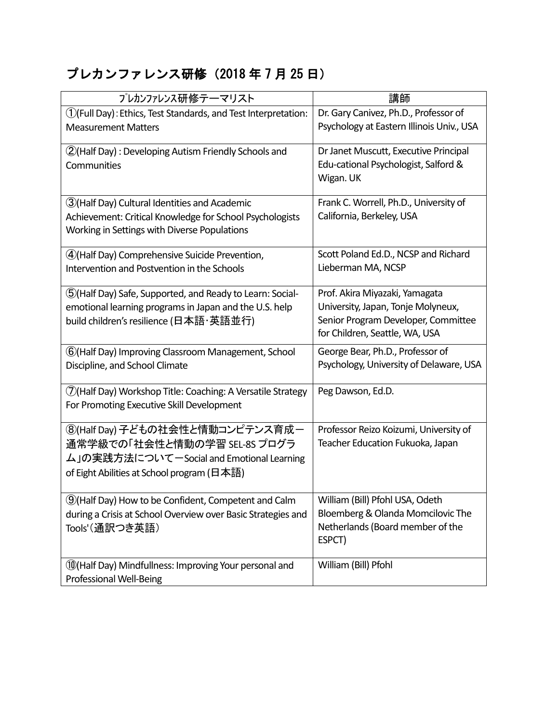# プレカンファレンス研修(2018 年 7 月 25 日)

| プレカンファレンス研修テーマリスト                                                                                                                                               | 講師                                                                                                                                            |
|-----------------------------------------------------------------------------------------------------------------------------------------------------------------|-----------------------------------------------------------------------------------------------------------------------------------------------|
| $\mathcal{O}($ Full Day): Ethics, Test Standards, and Test Interpretation:<br><b>Measurement Matters</b>                                                        | Dr. Gary Canivez, Ph.D., Professor of<br>Psychology at Eastern Illinois Univ., USA                                                            |
| (2) (Half Day): Developing Autism Friendly Schools and<br>Communities                                                                                           | Dr Janet Muscutt, Executive Principal<br>Edu-cational Psychologist, Salford &<br>Wigan. UK                                                    |
| 3) (Half Day) Cultural Identities and Academic<br>Achievement: Critical Knowledge for School Psychologists<br>Working in Settings with Diverse Populations      | Frank C. Worrell, Ph.D., University of<br>California, Berkeley, USA                                                                           |
| 4)(Half Day) Comprehensive Suicide Prevention,<br>Intervention and Postvention in the Schools                                                                   | Scott Poland Ed.D., NCSP and Richard<br>Lieberman MA, NCSP                                                                                    |
| (5) (Half Day) Safe, Supported, and Ready to Learn: Social-<br>emotional learning programs in Japan and the U.S. help<br>build children's resilience (日本語·英語並行) | Prof. Akira Miyazaki, Yamagata<br>University, Japan, Tonje Molyneux,<br>Senior Program Developer, Committee<br>for Children, Seattle, WA, USA |
| 6 (Half Day) Improving Classroom Management, School<br>Discipline, and School Climate                                                                           | George Bear, Ph.D., Professor of<br>Psychology, University of Delaware, USA                                                                   |
| 7) (Half Day) Workshop Title: Coaching: A Versatile Strategy<br>For Promoting Executive Skill Development                                                       | Peg Dawson, Ed.D.                                                                                                                             |
| ⑧(Half Day) 子どもの社会性と情動コンピテンス育成ー<br>通常学級での「社会性と情動の学習 SEL-8S プログラ<br>ム」の実践方法について一Social and Emotional Learning<br>of Eight Abilities at School program (日本語)      | Professor Reizo Koizumi, University of<br>Teacher Education Fukuoka, Japan                                                                    |
| <b>9</b> (Half Day) How to be Confident, Competent and Calm<br>during a Crisis at School Overview over Basic Strategies and<br>Tools'(通訳つき英語)                   | William (Bill) Pfohl USA, Odeth<br>Bloemberg & Olanda Momcilovic The<br>Netherlands (Board member of the<br>ESPCT)                            |
| 10 (Half Day) Mindfullness: Improving Your personal and<br>Professional Well-Being                                                                              | William (Bill) Pfohl                                                                                                                          |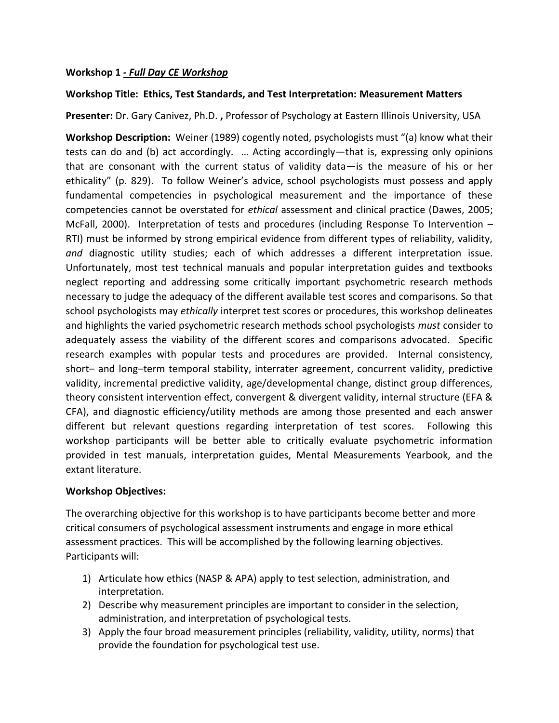### **Workshop 1** *- Full Day CE Workshop*

#### **Workshop Title: Ethics, Test Standards, and Test Interpretation: Measurement Matters**

**Presenter:** Dr. Gary Canivez, Ph.D. **,** Professor of Psychology at Eastern Illinois University, USA

**Workshop Description:** Weiner (1989) cogently noted, psychologists must "(a) know what their tests can do and (b) act accordingly. … Acting accordingly—that is, expressing only opinions that are consonant with the current status of validity data—is the measure of his or her ethicality" (p. 829). To follow Weiner's advice, school psychologists must possess and apply fundamental competencies in psychological measurement and the importance of these competencies cannot be overstated for *ethical* assessment and clinical practice (Dawes, 2005; McFall, 2000). Interpretation of tests and procedures (including Response To Intervention – RTI) must be informed by strong empirical evidence from different types of reliability, validity, *and* diagnostic utility studies; each of which addresses a different interpretation issue. Unfortunately, most test technical manuals and popular interpretation guides and textbooks neglect reporting and addressing some critically important psychometric research methods necessary to judge the adequacy of the different available test scores and comparisons. So that school psychologists may *ethically* interpret test scores or procedures, this workshop delineates and highlights the varied psychometric research methods school psychologists *must* consider to adequately assess the viability of the different scores and comparisons advocated. Specific research examples with popular tests and procedures are provided. Internal consistency, short– and long–term temporal stability, interrater agreement, concurrent validity, predictive validity, incremental predictive validity, age/developmental change, distinct group differences, theory consistent intervention effect, convergent & divergent validity, internal structure (EFA & CFA), and diagnostic efficiency/utility methods are among those presented and each answer different but relevant questions regarding interpretation of test scores. Following this workshop participants will be better able to critically evaluate psychometric information provided in test manuals, interpretation guides, Mental Measurements Yearbook, and the extant literature.

#### **Workshop Objectives:**

The overarching objective for this workshop is to have participants become better and more critical consumers of psychological assessment instruments and engage in more ethical assessment practices. This will be accomplished by the following learning objectives. Participants will:

- 1) Articulate how ethics (NASP & APA) apply to test selection, administration, and interpretation.
- 2) Describe why measurement principles are important to consider in the selection, administration, and interpretation of psychological tests.
- 3) Apply the four broad measurement principles (reliability, validity, utility, norms) that provide the foundation for psychological test use.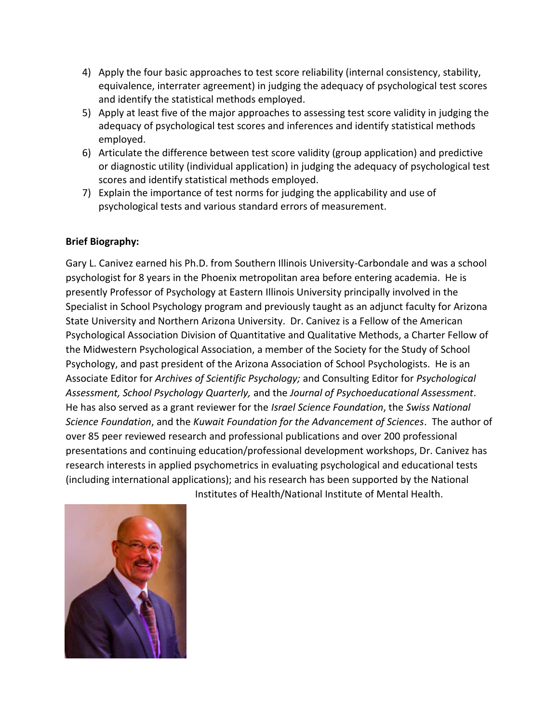- 4) Apply the four basic approaches to test score reliability (internal consistency, stability, equivalence, interrater agreement) in judging the adequacy of psychological test scores and identify the statistical methods employed.
- 5) Apply at least five of the major approaches to assessing test score validity in judging the adequacy of psychological test scores and inferences and identify statistical methods employed.
- 6) Articulate the difference between test score validity (group application) and predictive or diagnostic utility (individual application) in judging the adequacy of psychological test scores and identify statistical methods employed.
- 7) Explain the importance of test norms for judging the applicability and use of psychological tests and various standard errors of measurement.

## **Brief Biography:**

Gary L. Canivez earned his Ph.D. from Southern Illinois University-Carbondale and was a school psychologist for 8 years in the Phoenix metropolitan area before entering academia. He is presently Professor of Psychology at Eastern Illinois University principally involved in the Specialist in School Psychology program and previously taught as an adjunct faculty for Arizona State University and Northern Arizona University. Dr. Canivez is a Fellow of the American Psychological Association Division of Quantitative and Qualitative Methods, a Charter Fellow of the Midwestern Psychological Association, a member of the Society for the Study of School Psychology, and past president of the Arizona Association of School Psychologists. He is an Associate Editor for *Archives of Scientific Psychology;* and Consulting Editor for *Psychological Assessment, School Psychology Quarterly,* and the *Journal of Psychoeducational Assessment*. He has also served as a grant reviewer for the *Israel Science Foundation*, the *Swiss National Science Foundation*, and the *Kuwait Foundation for the Advancement of Sciences*. The author of over 85 peer reviewed research and professional publications and over 200 professional presentations and continuing education/professional development workshops, Dr. Canivez has research interests in applied psychometrics in evaluating psychological and educational tests (including international applications); and his research has been supported by the National Institutes of Health/National Institute of Mental Health.

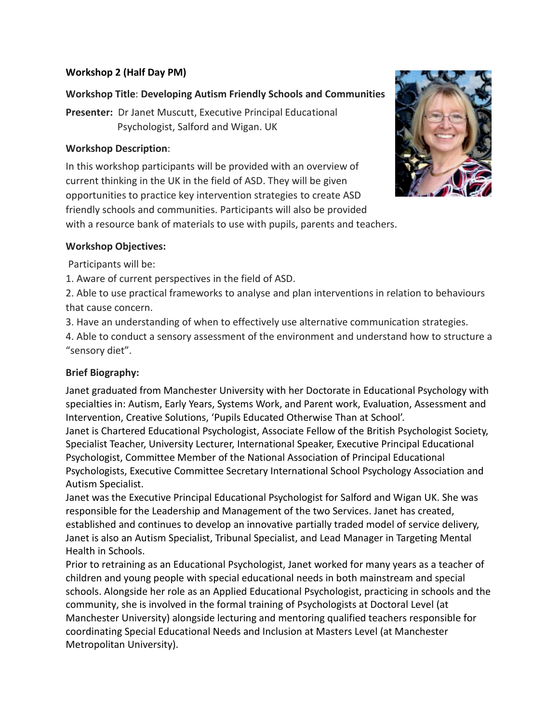### **Workshop 2 (Half Day PM)**

## **Workshop Title**: **Developing Autism Friendly Schools and Communities**

**Presenter:** Dr Janet Muscutt, Executive Principal Educational Psychologist, Salford and Wigan. UK

### **Workshop Description**:

In this workshop participants will be provided with an overview of current thinking in the UK in the field of ASD. They will be given opportunities to practice key intervention strategies to create ASD friendly schools and communities. Participants will also be provided with a resource bank of materials to use with pupils, parents and teachers.



### **Workshop Objectives:**

Participants will be:

1. Aware of current perspectives in the field of ASD.

2. Able to use practical frameworks to analyse and plan interventions in relation to behaviours that cause concern.

3. Have an understanding of when to effectively use alternative communication strategies.

4. Able to conduct a sensory assessment of the environment and understand how to structure a "sensory diet".

### **Brief Biography:**

Janet graduated from Manchester University with her Doctorate in Educational Psychology with specialties in: Autism, Early Years, Systems Work, and Parent work, Evaluation, Assessment and Intervention, Creative Solutions, 'Pupils Educated Otherwise Than at School'.

Janet is Chartered Educational Psychologist, Associate Fellow of the British Psychologist Society, Specialist Teacher, University Lecturer, International Speaker, Executive Principal Educational Psychologist, Committee Member of the National Association of Principal Educational Psychologists, Executive Committee Secretary International School Psychology Association and Autism Specialist.

Janet was the Executive Principal Educational Psychologist for Salford and Wigan UK. She was responsible for the Leadership and Management of the two Services. Janet has created, established and continues to develop an innovative partially traded model of service delivery, Janet is also an Autism Specialist, Tribunal Specialist, and Lead Manager in Targeting Mental Health in Schools.

Prior to retraining as an Educational Psychologist, Janet worked for many years as a teacher of children and young people with special educational needs in both mainstream and special schools. Alongside her role as an Applied Educational Psychologist, practicing in schools and the community, she is involved in the formal training of Psychologists at Doctoral Level (at Manchester University) alongside lecturing and mentoring qualified teachers responsible for coordinating Special Educational Needs and Inclusion at Masters Level (at Manchester Metropolitan University).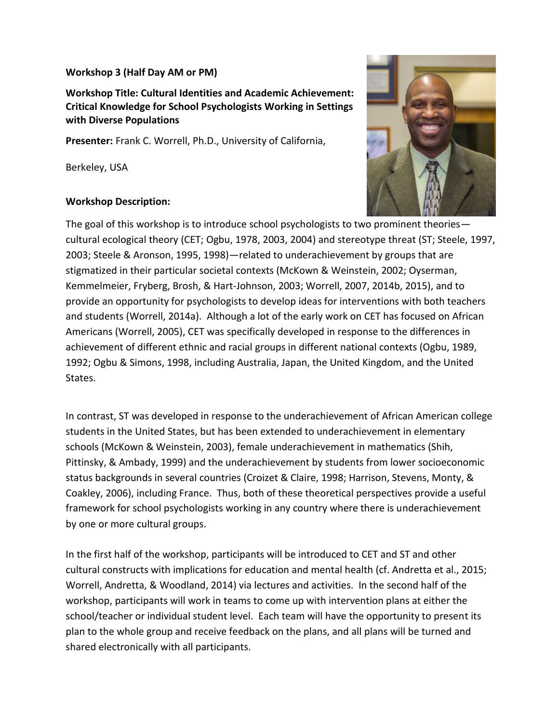#### **Workshop 3 (Half Day AM or PM)**

**Workshop Title: Cultural Identities and Academic Achievement: Critical Knowledge for School Psychologists Working in Settings with Diverse Populations**

**Presenter:** Frank C. Worrell, Ph.D., University of California,

Berkeley, USA

### **Workshop Description:**



The goal of this workshop is to introduce school psychologists to two prominent theories cultural ecological theory (CET; Ogbu, 1978, 2003, 2004) and stereotype threat (ST; Steele, 1997, 2003; Steele & Aronson, 1995, 1998)—related to underachievement by groups that are stigmatized in their particular societal contexts (McKown & Weinstein, 2002; Oyserman, Kemmelmeier, Fryberg, Brosh, & Hart-Johnson, 2003; Worrell, 2007, 2014b, 2015), and to provide an opportunity for psychologists to develop ideas for interventions with both teachers and students (Worrell, 2014a). Although a lot of the early work on CET has focused on African Americans (Worrell, 2005), CET was specifically developed in response to the differences in achievement of different ethnic and racial groups in different national contexts (Ogbu, 1989, 1992; Ogbu & Simons, 1998, including Australia, Japan, the United Kingdom, and the United States.

In contrast, ST was developed in response to the underachievement of African American college students in the United States, but has been extended to underachievement in elementary schools (McKown & Weinstein, 2003), female underachievement in mathematics (Shih, Pittinsky, & Ambady, 1999) and the underachievement by students from lower socioeconomic status backgrounds in several countries (Croizet & Claire, 1998; Harrison, Stevens, Monty, & Coakley, 2006), including France. Thus, both of these theoretical perspectives provide a useful framework for school psychologists working in any country where there is underachievement by one or more cultural groups.

In the first half of the workshop, participants will be introduced to CET and ST and other cultural constructs with implications for education and mental health (cf. Andretta et al., 2015; Worrell, Andretta, & Woodland, 2014) via lectures and activities. In the second half of the workshop, participants will work in teams to come up with intervention plans at either the school/teacher or individual student level. Each team will have the opportunity to present its plan to the whole group and receive feedback on the plans, and all plans will be turned and shared electronically with all participants.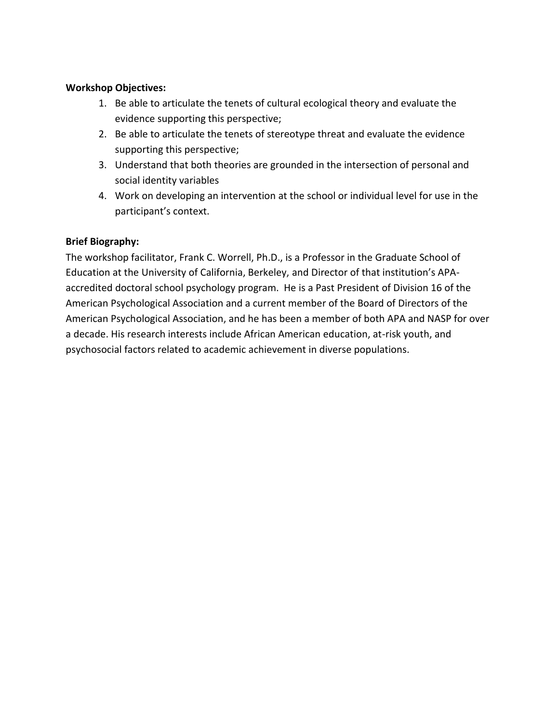### **Workshop Objectives:**

- 1. Be able to articulate the tenets of cultural ecological theory and evaluate the evidence supporting this perspective;
- 2. Be able to articulate the tenets of stereotype threat and evaluate the evidence supporting this perspective;
- 3. Understand that both theories are grounded in the intersection of personal and social identity variables
- 4. Work on developing an intervention at the school or individual level for use in the participant's context.

### **Brief Biography:**

The workshop facilitator, Frank C. Worrell, Ph.D., is a Professor in the Graduate School of Education at the University of California, Berkeley, and Director of that institution's APAaccredited doctoral school psychology program. He is a Past President of Division 16 of the American Psychological Association and a current member of the Board of Directors of the American Psychological Association, and he has been a member of both APA and NASP for over a decade. His research interests include African American education, at-risk youth, and psychosocial factors related to academic achievement in diverse populations.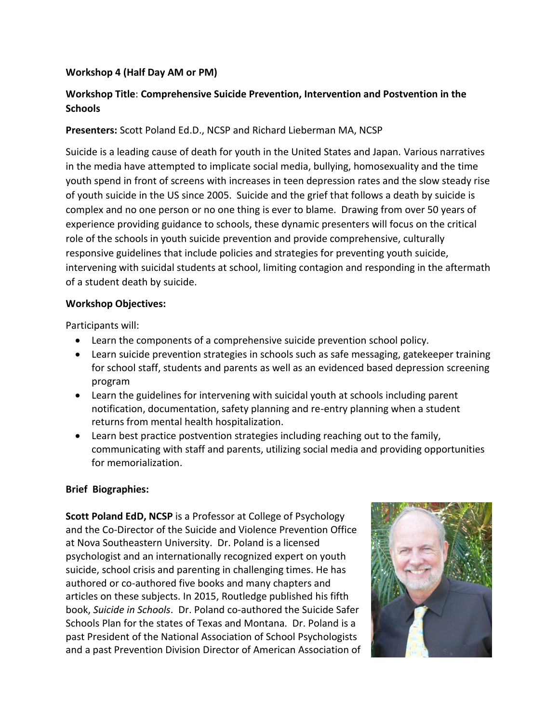### **Workshop 4 (Half Day AM or PM)**

## **Workshop Title**: **Comprehensive Suicide Prevention, Intervention and Postvention in the Schools**

#### **Presenters:** Scott Poland Ed.D., NCSP and Richard Lieberman MA, NCSP

Suicide is a leading cause of death for youth in the United States and Japan. Various narratives in the media have attempted to implicate social media, bullying, homosexuality and the time youth spend in front of screens with increases in teen depression rates and the slow steady rise of youth suicide in the US since 2005. Suicide and the grief that follows a death by suicide is complex and no one person or no one thing is ever to blame. Drawing from over 50 years of experience providing guidance to schools, these dynamic presenters will focus on the critical role of the schools in youth suicide prevention and provide comprehensive, culturally responsive guidelines that include policies and strategies for preventing youth suicide, intervening with suicidal students at school, limiting contagion and responding in the aftermath of a student death by suicide.

#### **Workshop Objectives:**

Participants will:

- Learn the components of a comprehensive suicide prevention school policy.
- Learn suicide prevention strategies in schools such as safe messaging, gatekeeper training for school staff, students and parents as well as an evidenced based depression screening program
- Learn the guidelines for intervening with suicidal youth at schools including parent notification, documentation, safety planning and re-entry planning when a student returns from mental health hospitalization.
- Learn best practice postvention strategies including reaching out to the family, communicating with staff and parents, utilizing social media and providing opportunities for memorialization.

#### **Brief Biographies:**

**Scott Poland EdD, NCSP** is a Professor at College of Psychology and the Co-Director of the Suicide and Violence Prevention Office at Nova Southeastern University. Dr. Poland is a licensed psychologist and an internationally recognized expert on youth suicide, school crisis and parenting in challenging times. He has authored or co-authored five books and many chapters and articles on these subjects. In 2015, Routledge published his fifth book, *Suicide in Schools*. Dr. Poland co-authored the Suicide Safer Schools Plan for the states of Texas and Montana. Dr. Poland is a past President of the National Association of School Psychologists and a past Prevention Division Director of American Association of

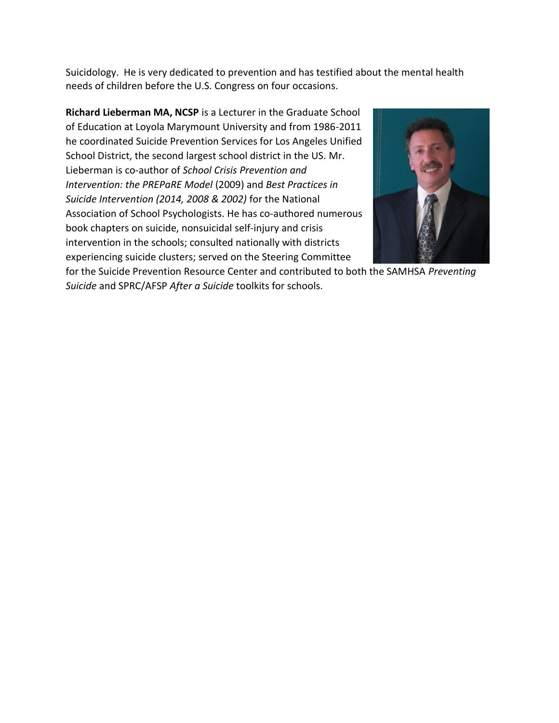Suicidology. He is very dedicated to prevention and has testified about the mental health needs of children before the U.S. Congress on four occasions.

**Richard Lieberman MA, NCSP** is a Lecturer in the Graduate School of Education at Loyola Marymount University and from 1986-2011 he coordinated Suicide Prevention Services for Los Angeles Unified School District, the second largest school district in the US. Mr. Lieberman is co-author of *School Crisis Prevention and Intervention: the PREPaRE Model* (2009) and *Best Practices in Suicide Intervention (2014, 2008 & 2002)* for the National Association of School Psychologists. He has co-authored numerous book chapters on suicide, nonsuicidal self-injury and crisis intervention in the schools; consulted nationally with districts experiencing suicide clusters; served on the Steering Committee



for the Suicide Prevention Resource Center and contributed to both the SAMHSA *Preventing Suicide* and SPRC/AFSP *After a Suicide* toolkits for schools.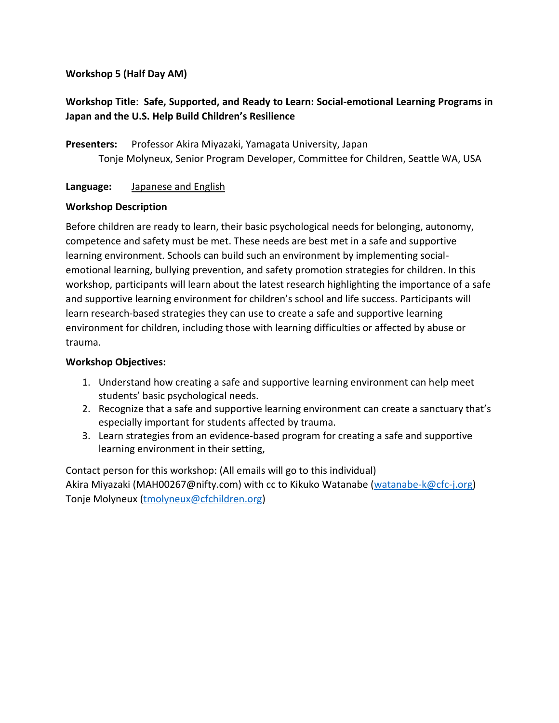### **Workshop 5 (Half Day AM)**

# **Workshop Title**: **Safe, Supported, and Ready to Learn: Social-emotional Learning Programs in Japan and the U.S. Help Build Children's Resilience**

**Presenters:** Professor Akira Miyazaki, Yamagata University, Japan Tonje Molyneux, Senior Program Developer, Committee for Children, Seattle WA, USA

#### **Language:** Japanese and English

### **Workshop Description**

Before children are ready to learn, their basic psychological needs for belonging, autonomy, competence and safety must be met. These needs are best met in a safe and supportive learning environment. Schools can build such an environment by implementing socialemotional learning, bullying prevention, and safety promotion strategies for children. In this workshop, participants will learn about the latest research highlighting the importance of a safe and supportive learning environment for children's school and life success. Participants will learn research-based strategies they can use to create a safe and supportive learning environment for children, including those with learning difficulties or affected by abuse or trauma.

#### **Workshop Objectives:**

- 1. Understand how creating a safe and supportive learning environment can help meet students' basic psychological needs.
- 2. Recognize that a safe and supportive learning environment can create a sanctuary that's especially important for students affected by trauma.
- 3. Learn strategies from an evidence-based program for creating a safe and supportive learning environment in their setting,

Contact person for this workshop: (All emails will go to this individual) Akira Miyazaki (MAH00267@nifty.com) with cc to Kikuko Watanabe [\(watanabe-k@cfc-j.org\)](mailto:watanabe-k@cfc-j.org) Tonje Molyneux [\(tmolyneux@cfchildren.org\)](mailto:tmolyneux@cfchildren.org)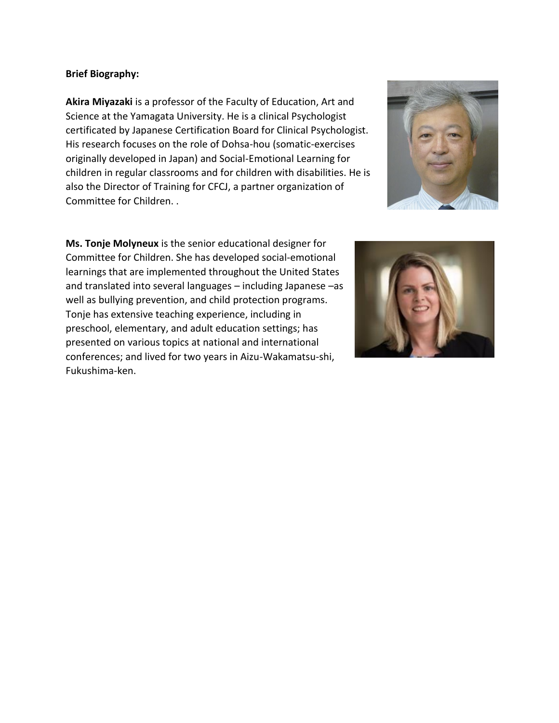#### **Brief Biography:**

**Akira Miyazaki** is a professor of the Faculty of Education, Art and Science at the Yamagata University. He is a clinical Psychologist certificated by Japanese Certification Board for Clinical Psychologist. His research focuses on the role of Dohsa-hou (somatic-exercises originally developed in Japan) and Social-Emotional Learning for children in regular classrooms and for children with disabilities. He is also the Director of Training for CFCJ, a partner organization of Committee for Children. .



**Ms. Tonje Molyneux** is the senior educational designer for Committee for Children. She has developed social-emotional learnings that are implemented throughout the United States and translated into several languages – including Japanese –as well as bullying prevention, and child protection programs. Tonje has extensive teaching experience, including in preschool, elementary, and adult education settings; has presented on various topics at national and international conferences; and lived for two years in Aizu-Wakamatsu-shi, Fukushima-ken.

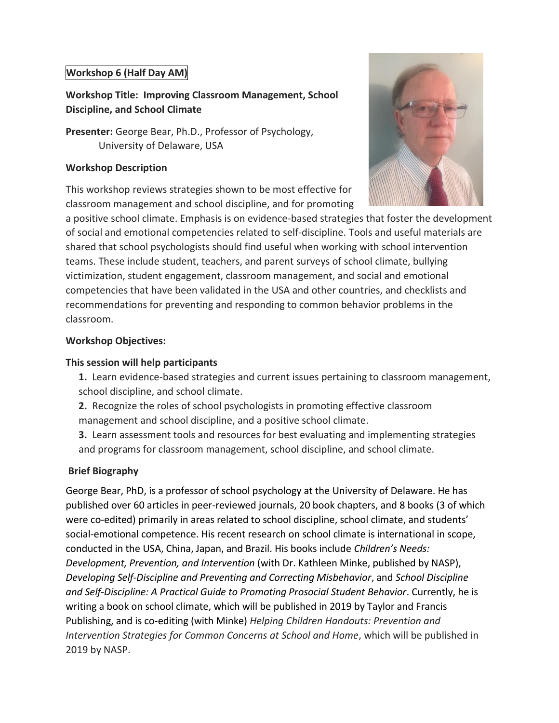### **Workshop 6 (Half Day AM)**

# **Workshop Title: Improving Classroom Management, School Discipline, and School Climate**

**Presenter:** George Bear, Ph.D., Professor of Psychology, University of Delaware, USA

### **Workshop Description**

This workshop reviews strategies shown to be most effective for classroom management and school discipline, and for promoting



a positive school climate. Emphasis is on evidence-based strategies that foster the development of social and emotional competencies related to self-discipline. Tools and useful materials are shared that school psychologists should find useful when working with school intervention teams. These include student, teachers, and parent surveys of school climate, bullying victimization, student engagement, classroom management, and social and emotional competencies that have been validated in the USA and other countries, and checklists and recommendations for preventing and responding to common behavior problems in the classroom.

### **Workshop Objectives:**

#### **This session will help participants**

- **1.** Learn evidence-based strategies and current issues pertaining to classroom management, school discipline, and school climate.
- **2.** Recognize the roles of school psychologists in promoting effective classroom
- management and school discipline, and a positive school climate.
- **3.** Learn assessment tools and resources for best evaluating and implementing strategies and programs for classroom management, school discipline, and school climate.

### **Brief Biography**

George Bear, PhD, is a professor of school psychology at the University of Delaware. He has published over 60 articles in peer-reviewed journals, 20 book chapters, and 8 books (3 of which were co-edited) primarily in areas related to school discipline, school climate, and students' social-emotional competence. His recent research on school climate is international in scope, conducted in the USA, China, Japan, and Brazil. His books include *Children's Needs: Development, Prevention, and Intervention* (with Dr. Kathleen Minke, published by NASP), *Developing Self-Discipline and Preventing and Correcting Misbehavior*, and *School Discipline and Self-Discipline: A Practical Guide to Promoting Prosocial Student Behavior*. Currently, he is writing a book on school climate, which will be published in 2019 by Taylor and Francis Publishing, and is co-editing (with Minke) *Helping Children Handouts: Prevention and Intervention Strategies for Common Concerns at School and Home*, which will be published in 2019 by NASP.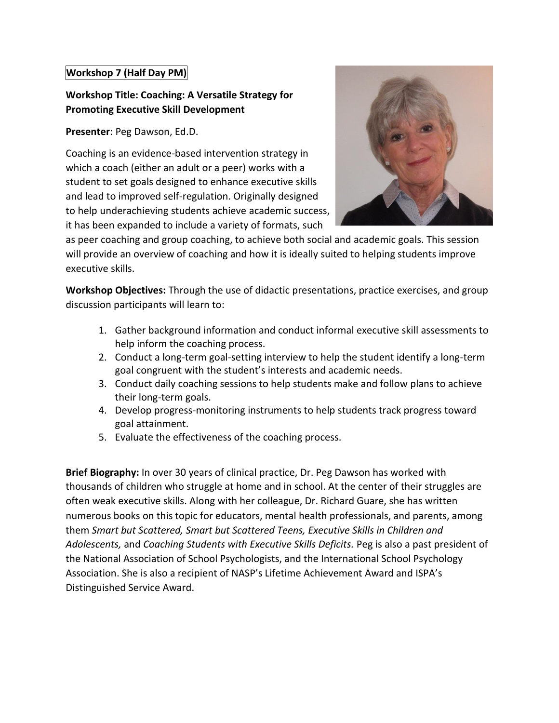### **Workshop 7 (Half Day PM)**

# **Workshop Title: Coaching: A Versatile Strategy for Promoting Executive Skill Development**

**Presenter**: Peg Dawson, Ed.D.

Coaching is an evidence-based intervention strategy in which a coach (either an adult or a peer) works with a student to set goals designed to enhance executive skills and lead to improved self-regulation. Originally designed to help underachieving students achieve academic success, it has been expanded to include a variety of formats, such



as peer coaching and group coaching, to achieve both social and academic goals. This session will provide an overview of coaching and how it is ideally suited to helping students improve executive skills.

**Workshop Objectives:** Through the use of didactic presentations, practice exercises, and group discussion participants will learn to:

- 1. Gather background information and conduct informal executive skill assessments to help inform the coaching process.
- 2. Conduct a long-term goal-setting interview to help the student identify a long-term goal congruent with the student's interests and academic needs.
- 3. Conduct daily coaching sessions to help students make and follow plans to achieve their long-term goals.
- 4. Develop progress-monitoring instruments to help students track progress toward goal attainment.
- 5. Evaluate the effectiveness of the coaching process.

**Brief Biography:** In over 30 years of clinical practice, Dr. Peg Dawson has worked with thousands of children who struggle at home and in school. At the center of their struggles are often weak executive skills. Along with her colleague, Dr. Richard Guare, she has written numerous books on this topic for educators, mental health professionals, and parents, among them *Smart but Scattered, Smart but Scattered Teens, Executive Skills in Children and Adolescents,* and *Coaching Students with Executive Skills Deficits.* Peg is also a past president of the National Association of School Psychologists, and the International School Psychology Association. She is also a recipient of NASP's Lifetime Achievement Award and ISPA's Distinguished Service Award.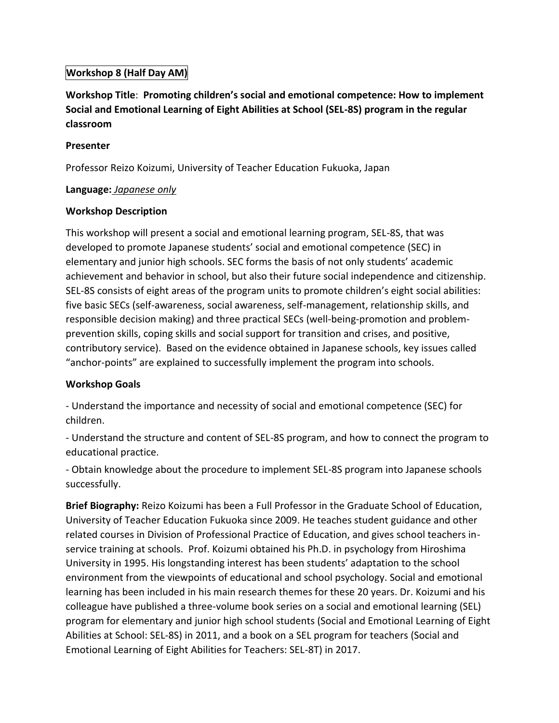### **Workshop 8 (Half Day AM)**

**Workshop Title**: **Promoting children's social and emotional competence: How to implement Social and Emotional Learning of Eight Abilities at School (SEL-8S) program in the regular classroom**

### **Presenter**

Professor Reizo Koizumi, University of Teacher Education Fukuoka, Japan

### **Language:** *Japanese only*

### **Workshop Description**

This workshop will present a social and emotional learning program, SEL-8S, that was developed to promote Japanese students' social and emotional competence (SEC) in elementary and junior high schools. SEC forms the basis of not only students' academic achievement and behavior in school, but also their future social independence and citizenship. SEL-8S consists of eight areas of the program units to promote children's eight social abilities: five basic SECs (self-awareness, social awareness, self-management, relationship skills, and responsible decision making) and three practical SECs (well-being-promotion and problemprevention skills, coping skills and social support for transition and crises, and positive, contributory service). Based on the evidence obtained in Japanese schools, key issues called "anchor-points" are explained to successfully implement the program into schools.

### **Workshop Goals**

- Understand the importance and necessity of social and emotional competence (SEC) for children.

- Understand the structure and content of SEL-8S program, and how to connect the program to educational practice.

- Obtain knowledge about the procedure to implement SEL-8S program into Japanese schools successfully.

**Brief Biography:** Reizo Koizumi has been a Full Professor in the Graduate School of Education, University of Teacher Education Fukuoka since 2009. He teaches student guidance and other related courses in Division of Professional Practice of Education, and gives school teachers inservice training at schools. Prof. Koizumi obtained his Ph.D. in psychology from Hiroshima University in 1995. His longstanding interest has been students' adaptation to the school environment from the viewpoints of educational and school psychology. Social and emotional learning has been included in his main research themes for these 20 years. Dr. Koizumi and his colleague have published a three-volume book series on a social and emotional learning (SEL) program for elementary and junior high school students (Social and Emotional Learning of Eight Abilities at School: SEL-8S) in 2011, and a book on a SEL program for teachers (Social and Emotional Learning of Eight Abilities for Teachers: SEL-8T) in 2017.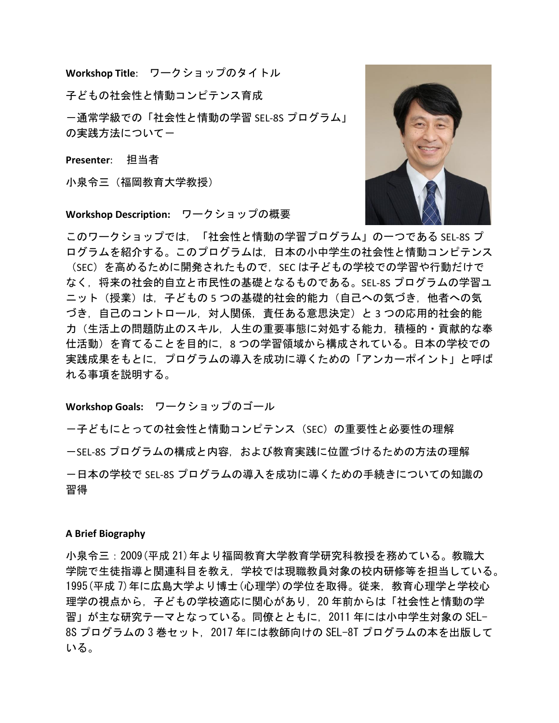**Workshop Title**: ワークショップのタイトル

子どもの社会性と情動コンピテンス育成

-通常学級での「社会性と情動の学習 SEL-8S プログラム」 の実践方法についてー

**Presenter**: 担当者

小泉令三(福岡教育大学教授)

#### **Workshop Description:** ワークショップの概要

このワークショップでは,「社会性と情動の学習プログラム」の一つである SEL-8S プ ログラムを紹介する。このプログラムは,日本の小中学生の社会性と情動コンピテンス (SEC) を高めるために開発されたもので, SEC は子どもの学校での学習や行動だけで なく,将来の社会的自立と市民性の基礎となるものである。SEL-8S プログラムの学習ユ ニット(授業)は、子どもの5つの基礎的社会的能力(自己への気づき、他者への気 づき,自己のコントロール,対人関係,責任ある意思決定)と 3 つの応用的社会的能 力(生活上の問題防止のスキル,人生の重要事態に対処する能力,積極的・貢献的な奉 仕活動)を育てることを目的に,8 つの学習領域から構成されている。日本の学校での 実践成果をもとに,プログラムの導入を成功に導くための「アンカーポイント」と呼ば れる事項を説明する。

#### **Workshop Goals:** ワークショップのゴール

-子どもにとっての社会性と情動コンピテンス(SEC)の重要性と必要性の理解 ーSEL-8S プログラムの構成と内容, および教育実践に位置づけるための方法の理解 -日本の学校で SEL-8S プログラムの導入を成功に導くための手続きについての知識の 習得

#### **A Brief Biography**

小泉令三:2009(平成 21)年より福岡教育大学教育学研究科教授を務めている。教職大 学院で生徒指導と関連科目を教え,学校では現職教員対象の校内研修等を担当している。 1995(平成 7)年に広島大学より博士(心理学)の学位を取得。従来,教育心理学と学校心 理学の視点から、子どもの学校適応に関心があり、20 年前からは「社会性と情動の学 習」が主な研究テーマとなっている。同僚とともに,2011 年には小中学生対象の SEL-8S プログラムの 3 巻セット,2017 年には教師向けの SEL-8T プログラムの本を出版して いる。

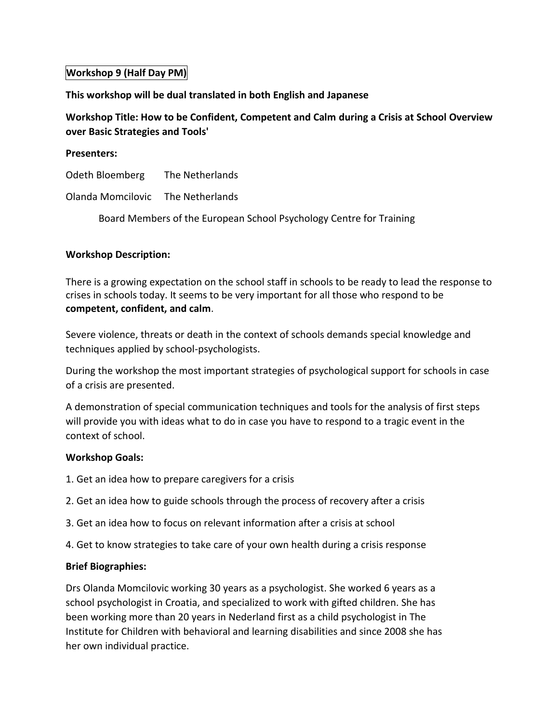### **Workshop 9 (Half Day PM)**

#### **This workshop will be dual translated in both English and Japanese**

## **Workshop Title: How to be Confident, Competent and Calm during a Crisis at School Overview over Basic Strategies and Tools'**

#### **Presenters:**

Odeth Bloemberg The Netherlands

Olanda Momcilovic The Netherlands

Board Members of the European School Psychology Centre for Training

#### **Workshop Description:**

There is a growing expectation on the school staff in schools to be ready to lead the response to crises in schools today. It seems to be very important for all those who respond to be **competent, confident, and calm**.

Severe violence, threats or death in the context of schools demands special knowledge and techniques applied by school-psychologists.

During the workshop the most important strategies of psychological support for schools in case of a crisis are presented.

A demonstration of special communication techniques and tools for the analysis of first steps will provide you with ideas what to do in case you have to respond to a tragic event in the context of school.

#### **Workshop Goals:**

- 1. Get an idea how to prepare caregivers for a crisis
- 2. Get an idea how to guide schools through the process of recovery after a crisis
- 3. Get an idea how to focus on relevant information after a crisis at school
- 4. Get to know strategies to take care of your own health during a crisis response

#### **Brief Biographies:**

Drs Olanda Momcilovic working 30 years as a psychologist. She worked 6 years as a school psychologist in Croatia, and specialized to work with gifted children. She has been working more than 20 years in Nederland first as a child psychologist in The Institute for Children with behavioral and learning disabilities and since 2008 she has her own individual practice.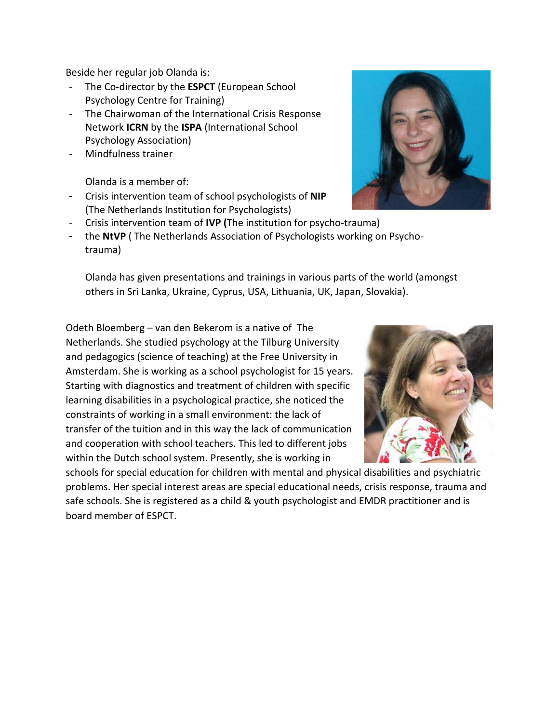Beside her regular job Olanda is:

- The Co-director by the **ESPCT** (European School Psychology Centre for Training)
- The Chairwoman of the International Crisis Response Network **ICRN** by the **ISPA** (International School Psychology Association)
- Mindfulness trainer

Olanda is a member of:

- Crisis intervention team of school psychologists of **NIP** (The Netherlands Institution for Psychologists)
- Crisis intervention team of **IVP (**The institution for psycho-trauma)
- the **NtVP** ( The Netherlands Association of Psychologists working on Psychotrauma)

Olanda has given presentations and trainings in various parts of the world (amongst others in Sri Lanka, Ukraine, Cyprus, USA, Lithuania, UK, Japan, Slovakia).

Odeth Bloemberg – van den Bekerom is a native of The Netherlands. She studied psychology at the Tilburg University and pedagogics (science of teaching) at the Free University in Amsterdam. She is working as a school psychologist for 15 years. Starting with diagnostics and treatment of children with specific learning disabilities in a psychological practice, she noticed the constraints of working in a small environment: the lack of transfer of the tuition and in this way the lack of communication and cooperation with school teachers. This led to different jobs within the Dutch school system. Presently, she is working in

schools for special education for children with mental and physical disabilities and psychiatric problems. Her special interest areas are special educational needs, crisis response, trauma and safe schools. She is registered as a child & youth psychologist and EMDR practitioner and is board member of ESPCT.



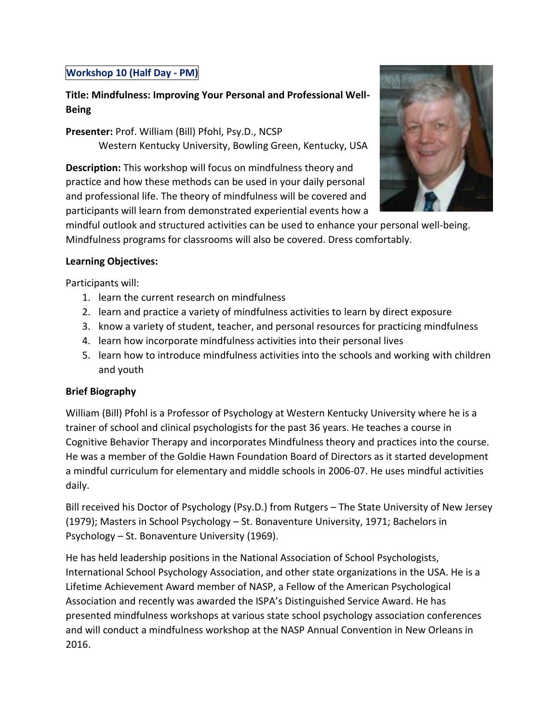### **Workshop 10 (Half Day - PM)**

# **Title: Mindfulness: Improving Your Personal and Professional Well-Being**

**Presenter:** Prof. William (Bill) Pfohl, Psy.D., NCSP Western Kentucky University, Bowling Green, Kentucky, USA

**Description:** This workshop will focus on mindfulness theory and practice and how these methods can be used in your daily personal and professional life. The theory of mindfulness will be covered and participants will learn from demonstrated experiential events how a



mindful outlook and structured activities can be used to enhance your personal well-being. Mindfulness programs for classrooms will also be covered. Dress comfortably.

### **Learning Objectives:**

Participants will:

- 1. learn the current research on mindfulness
- 2. learn and practice a variety of mindfulness activities to learn by direct exposure
- 3. know a variety of student, teacher, and personal resources for practicing mindfulness
- 4. learn how incorporate mindfulness activities into their personal lives
- 5. learn how to introduce mindfulness activities into the schools and working with children and youth

### **Brief Biography**

William (Bill) Pfohl is a Professor of Psychology at Western Kentucky University where he is a trainer of school and clinical psychologists for the past 36 years. He teaches a course in Cognitive Behavior Therapy and incorporates Mindfulness theory and practices into the course. He was a member of the Goldie Hawn Foundation Board of Directors as it started development a mindful curriculum for elementary and middle schools in 2006-07. He uses mindful activities daily.

Bill received his Doctor of Psychology (Psy.D.) from Rutgers – The State University of New Jersey (1979); Masters in School Psychology – St. Bonaventure University, 1971; Bachelors in Psychology – St. Bonaventure University (1969).

He has held leadership positions in the National Association of School Psychologists, International School Psychology Association, and other state organizations in the USA. He is a Lifetime Achievement Award member of NASP, a Fellow of the American Psychological Association and recently was awarded the ISPA's Distinguished Service Award. He has presented mindfulness workshops at various state school psychology association conferences and will conduct a mindfulness workshop at the NASP Annual Convention in New Orleans in 2016.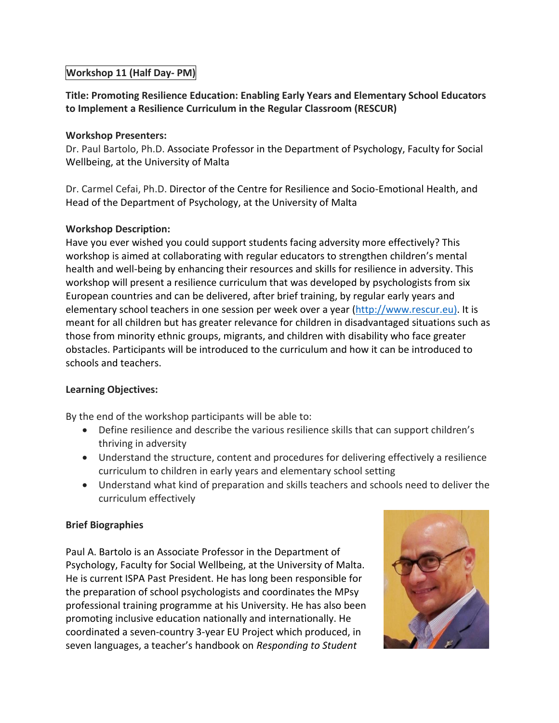### **Workshop 11 (Half Day- PM)**

**Title: Promoting Resilience Education: Enabling Early Years and Elementary School Educators to Implement a Resilience Curriculum in the Regular Classroom (RESCUR)**

#### **Workshop Presenters:**

Dr. Paul Bartolo, Ph.D. Associate Professor in the Department of Psychology, Faculty for Social Wellbeing, at the University of Malta

Dr. Carmel Cefai, Ph.D. Director of the Centre for Resilience and Socio-Emotional Health, and Head of the Department of Psychology, at the University of Malta

### **Workshop Description:**

Have you ever wished you could support students facing adversity more effectively? This workshop is aimed at collaborating with regular educators to strengthen children's mental health and well-being by enhancing their resources and skills for resilience in adversity. This workshop will present a resilience curriculum that was developed by psychologists from six European countries and can be delivered, after brief training, by regular early years and elementary school teachers in one session per week over a year [\(http://www.rescur.eu\)](http://www.rescur.eu/). It is meant for all children but has greater relevance for children in disadvantaged situations such as those from minority ethnic groups, migrants, and children with disability who face greater obstacles. Participants will be introduced to the curriculum and how it can be introduced to schools and teachers.

#### **Learning Objectives:**

By the end of the workshop participants will be able to:

- Define resilience and describe the various resilience skills that can support children's thriving in adversity
- Understand the structure, content and procedures for delivering effectively a resilience curriculum to children in early years and elementary school setting
- Understand what kind of preparation and skills teachers and schools need to deliver the curriculum effectively

#### **Brief Biographies**

Paul A. Bartolo is an Associate Professor in the Department of Psychology, Faculty for Social Wellbeing, at the University of Malta. He is current ISPA Past President. He has long been responsible for the preparation of school psychologists and coordinates the MPsy professional training programme at his University. He has also been promoting inclusive education nationally and internationally. He coordinated a seven-country 3-year EU Project which produced, in seven languages, a teacher's handbook on *Responding to Student*